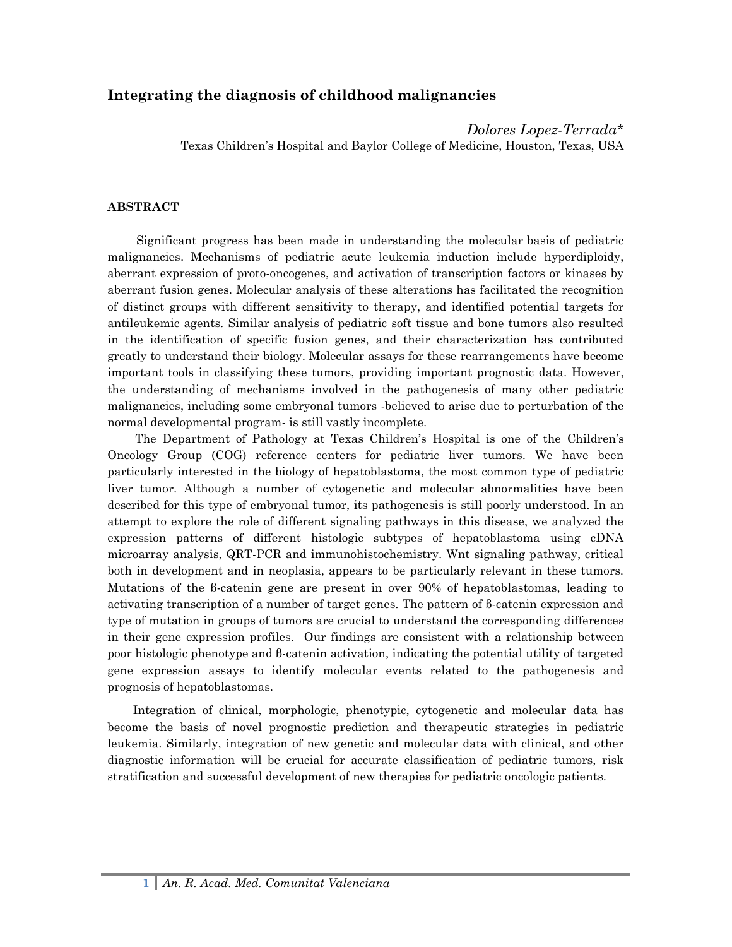# **Integrating the diagnosis of childhood malignancies**

*Dolores Lopez-Terrada\** Texas Children's Hospital and Baylor College of Medicine, Houston, Texas, USA

## **ABSTRACT**

Significant progress has been made in understanding the molecular basis of pediatric malignancies. Mechanisms of pediatric acute leukemia induction include hyperdiploidy, aberrant expression of proto-oncogenes, and activation of transcription factors or kinases by aberrant fusion genes. Molecular analysis of these alterations has facilitated the recognition of distinct groups with different sensitivity to therapy, and identified potential targets for antileukemic agents. Similar analysis of pediatric soft tissue and bone tumors also resulted in the identification of specific fusion genes, and their characterization has contributed greatly to understand their biology. Molecular assays for these rearrangements have become important tools in classifying these tumors, providing important prognostic data. However, the understanding of mechanisms involved in the pathogenesis of many other pediatric malignancies, including some embryonal tumors -believed to arise due to perturbation of the normal developmental program- is still vastly incomplete.

The Department of Pathology at Texas Children's Hospital is one of the Children's Oncology Group (COG) reference centers for pediatric liver tumors. We have been particularly interested in the biology of hepatoblastoma, the most common type of pediatric liver tumor. Although a number of cytogenetic and molecular abnormalities have been described for this type of embryonal tumor, its pathogenesis is still poorly understood. In an attempt to explore the role of different signaling pathways in this disease, we analyzed the expression patterns of different histologic subtypes of hepatoblastoma using cDNA microarray analysis, QRT-PCR and immunohistochemistry. Wnt signaling pathway, critical both in development and in neoplasia, appears to be particularly relevant in these tumors. Mutations of the β-catenin gene are present in over 90% of hepatoblastomas, leading to activating transcription of a number of target genes. The pattern of β-catenin expression and type of mutation in groups of tumors are crucial to understand the corresponding differences in their gene expression profiles. Our findings are consistent with a relationship between poor histologic phenotype and β-catenin activation, indicating the potential utility of targeted gene expression assays to identify molecular events related to the pathogenesis and prognosis of hepatoblastomas.

Integration of clinical, morphologic, phenotypic, cytogenetic and molecular data has become the basis of novel prognostic prediction and therapeutic strategies in pediatric leukemia. Similarly, integration of new genetic and molecular data with clinical, and other diagnostic information will be crucial for accurate classification of pediatric tumors, risk stratification and successful development of new therapies for pediatric oncologic patients.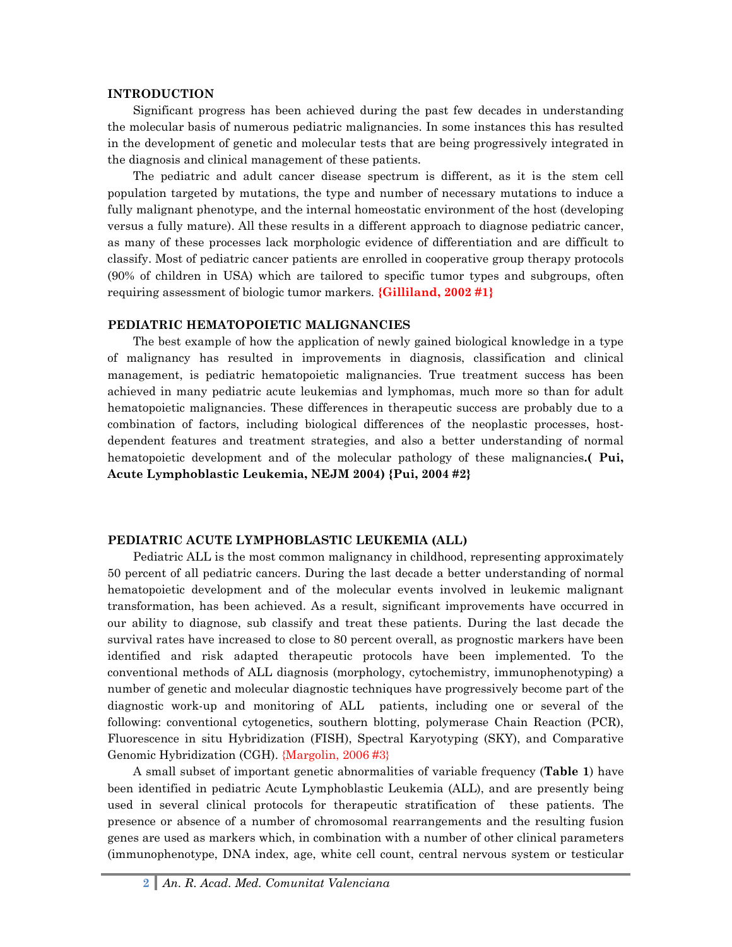#### **INTRODUCTION**

Significant progress has been achieved during the past few decades in understanding the molecular basis of numerous pediatric malignancies. In some instances this has resulted in the development of genetic and molecular tests that are being progressively integrated in the diagnosis and clinical management of these patients.

The pediatric and adult cancer disease spectrum is different, as it is the stem cell population targeted by mutations, the type and number of necessary mutations to induce a fully malignant phenotype, and the internal homeostatic environment of the host (developing versus a fully mature). All these results in a different approach to diagnose pediatric cancer, as many of these processes lack morphologic evidence of differentiation and are difficult to classify. Most of pediatric cancer patients are enrolled in cooperative group therapy protocols (90% of children in USA) which are tailored to specific tumor types and subgroups, often requiring assessment of biologic tumor markers. **{Gilliland, 2002 #1}** 

#### **PEDIATRIC HEMATOPOIETIC MALIGNANCIES**

The best example of how the application of newly gained biological knowledge in a type of malignancy has resulted in improvements in diagnosis, classification and clinical management, is pediatric hematopoietic malignancies. True treatment success has been achieved in many pediatric acute leukemias and lymphomas, much more so than for adult hematopoietic malignancies. These differences in therapeutic success are probably due to a combination of factors, including biological differences of the neoplastic processes, hostdependent features and treatment strategies, and also a better understanding of normal hematopoietic development and of the molecular pathology of these malignancies**.( Pui, Acute Lymphoblastic Leukemia, NEJM 2004) {Pui, 2004 #2}**

#### **PEDIATRIC ACUTE LYMPHOBLASTIC LEUKEMIA (ALL)**

Pediatric ALL is the most common malignancy in childhood, representing approximately 50 percent of all pediatric cancers. During the last decade a better understanding of normal hematopoietic development and of the molecular events involved in leukemic malignant transformation, has been achieved. As a result, significant improvements have occurred in our ability to diagnose, sub classify and treat these patients. During the last decade the survival rates have increased to close to 80 percent overall, as prognostic markers have been identified and risk adapted therapeutic protocols have been implemented. To the conventional methods of ALL diagnosis (morphology, cytochemistry, immunophenotyping) a number of genetic and molecular diagnostic techniques have progressively become part of the diagnostic work-up and monitoring of ALL patients, including one or several of the following: conventional cytogenetics, southern blotting, polymerase Chain Reaction (PCR), Fluorescence in situ Hybridization (FISH), Spectral Karyotyping (SKY), and Comparative Genomic Hybridization (CGH). {Margolin, 2006 #3}

A small subset of important genetic abnormalities of variable frequency (**Table 1**) have been identified in pediatric Acute Lymphoblastic Leukemia (ALL), and are presently being used in several clinical protocols for therapeutic stratification of these patients. The presence or absence of a number of chromosomal rearrangements and the resulting fusion genes are used as markers which, in combination with a number of other clinical parameters (immunophenotype, DNA index, age, white cell count, central nervous system or testicular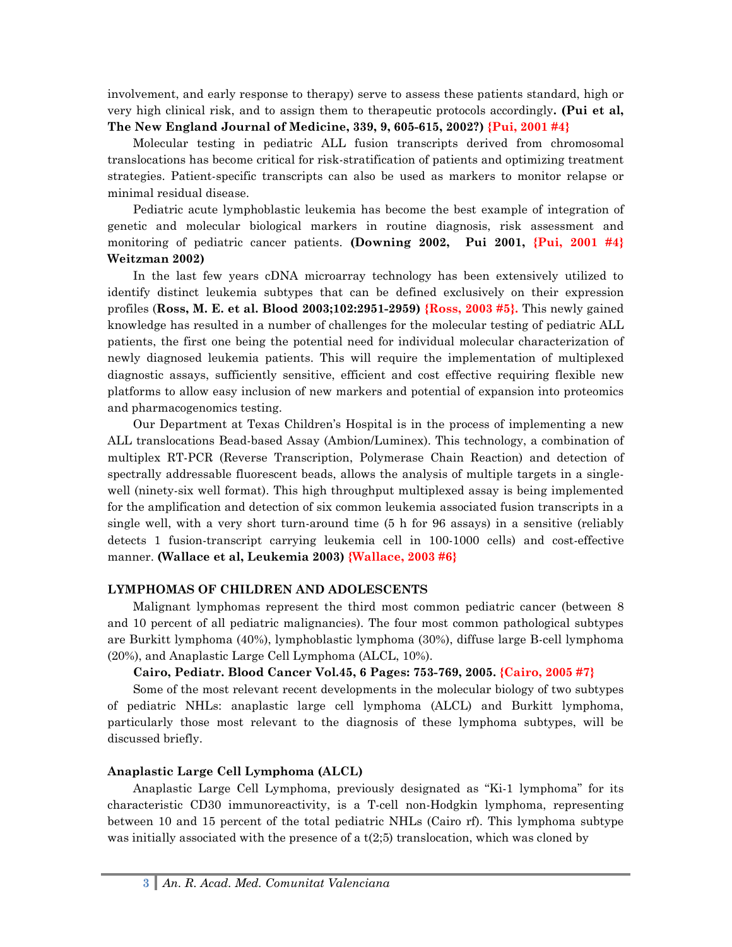involvement, and early response to therapy) serve to assess these patients standard, high or very high clinical risk, and to assign them to therapeutic protocols accordingly**. (Pui et al, The New England Journal of Medicine, 339, 9, 605-615, 2002?) {Pui, 2001 #4}**

Molecular testing in pediatric ALL fusion transcripts derived from chromosomal translocations has become critical for risk-stratification of patients and optimizing treatment strategies. Patient-specific transcripts can also be used as markers to monitor relapse or minimal residual disease.

Pediatric acute lymphoblastic leukemia has become the best example of integration of genetic and molecular biological markers in routine diagnosis, risk assessment and monitoring of pediatric cancer patients. **(Downing 2002, Pui 2001, {Pui, 2001 #4} Weitzman 2002)**

In the last few years cDNA microarray technology has been extensively utilized to identify distinct leukemia subtypes that can be defined exclusively on their expression profiles (**Ross, M. E. et al. Blood 2003;102:2951-2959) {Ross, 2003 #5}.** This newly gained knowledge has resulted in a number of challenges for the molecular testing of pediatric ALL patients, the first one being the potential need for individual molecular characterization of newly diagnosed leukemia patients. This will require the implementation of multiplexed diagnostic assays, sufficiently sensitive, efficient and cost effective requiring flexible new platforms to allow easy inclusion of new markers and potential of expansion into proteomics and pharmacogenomics testing.

Our Department at Texas Children's Hospital is in the process of implementing a new ALL translocations Bead-based Assay (Ambion/Luminex). This technology, a combination of multiplex RT-PCR (Reverse Transcription, Polymerase Chain Reaction) and detection of spectrally addressable fluorescent beads, allows the analysis of multiple targets in a singlewell (ninety-six well format). This high throughput multiplexed assay is being implemented for the amplification and detection of six common leukemia associated fusion transcripts in a single well, with a very short turn-around time (5 h for 96 assays) in a sensitive (reliably detects 1 fusion-transcript carrying leukemia cell in 100-1000 cells) and cost-effective manner. **(Wallace et al, Leukemia 2003) {Wallace, 2003 #6}**

### **LYMPHOMAS OF CHILDREN AND ADOLESCENTS**

Malignant lymphomas represent the third most common pediatric cancer (between 8 and 10 percent of all pediatric malignancies). The four most common pathological subtypes are Burkitt lymphoma (40%), lymphoblastic lymphoma (30%), diffuse large B-cell lymphoma (20%), and Anaplastic Large Cell Lymphoma (ALCL, 10%).

### **Cairo, Pediatr. Blood Cancer Vol.45, 6 Pages: 753-769, 2005. {Cairo, 2005 #7}**

Some of the most relevant recent developments in the molecular biology of two subtypes of pediatric NHLs: anaplastic large cell lymphoma (ALCL) and Burkitt lymphoma, particularly those most relevant to the diagnosis of these lymphoma subtypes, will be discussed briefly.

## **Anaplastic Large Cell Lymphoma (ALCL)**

Anaplastic Large Cell Lymphoma, previously designated as "Ki-1 lymphoma" for its characteristic CD30 immunoreactivity, is a T-cell non-Hodgkin lymphoma, representing between 10 and 15 percent of the total pediatric NHLs (Cairo rf). This lymphoma subtype was initially associated with the presence of a  $t(2;5)$  translocation, which was cloned by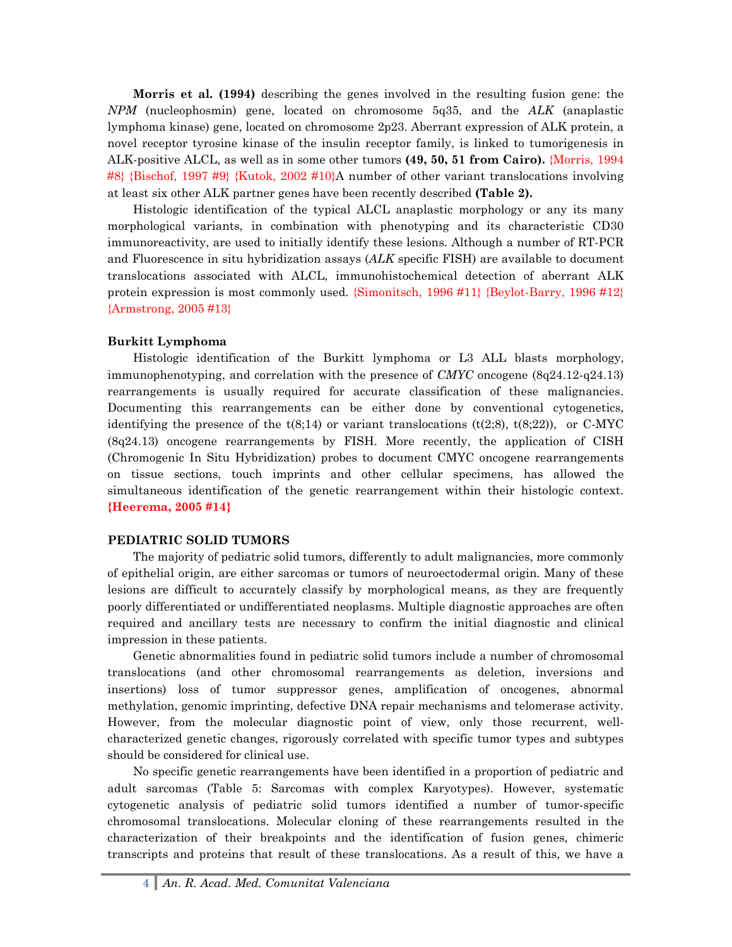**Morris et al. (1994)** describing the genes involved in the resulting fusion gene: the *NPM* (nucleophosmin) gene, located on chromosome 5q35, and the *ALK* (anaplastic lymphoma kinase) gene, located on chromosome 2p23. Aberrant expression of ALK protein, a novel receptor tyrosine kinase of the insulin receptor family, is linked to tumorigenesis in ALK-positive ALCL, as well as in some other tumors **(49, 50, 51 from Cairo).** {Morris, 1994 #8} {Bischof, 1997 #9} {Kutok, 2002 #10}A number of other variant translocations involving at least six other ALK partner genes have been recently described **(Table 2).**

Histologic identification of the typical ALCL anaplastic morphology or any its many morphological variants, in combination with phenotyping and its characteristic CD30 immunoreactivity, are used to initially identify these lesions. Although a number of RT-PCR and Fluorescence in situ hybridization assays (*ALK* specific FISH) are available to document translocations associated with ALCL, immunohistochemical detection of aberrant ALK protein expression is most commonly used. {Simonitsch, 1996 #11} {Beylot-Barry, 1996 #12} {Armstrong, 2005 #13}

### **Burkitt Lymphoma**

Histologic identification of the Burkitt lymphoma or L3 ALL blasts morphology, immunophenotyping, and correlation with the presence of *CMYC* oncogene (8q24.12-q24.13) rearrangements is usually required for accurate classification of these malignancies. Documenting this rearrangements can be either done by conventional cytogenetics, identifying the presence of the  $t(8,14)$  or variant translocations  $(t(2,8), t(8,22))$ , or C-MYC (8q24.13) oncogene rearrangements by FISH. More recently, the application of CISH (Chromogenic In Situ Hybridization) probes to document CMYC oncogene rearrangements on tissue sections, touch imprints and other cellular specimens, has allowed the simultaneous identification of the genetic rearrangement within their histologic context. **{Heerema, 2005 #14}**

#### **PEDIATRIC SOLID TUMORS**

The majority of pediatric solid tumors, differently to adult malignancies, more commonly of epithelial origin, are either sarcomas or tumors of neuroectodermal origin. Many of these lesions are difficult to accurately classify by morphological means, as they are frequently poorly differentiated or undifferentiated neoplasms. Multiple diagnostic approaches are often required and ancillary tests are necessary to confirm the initial diagnostic and clinical impression in these patients.

Genetic abnormalities found in pediatric solid tumors include a number of chromosomal translocations (and other chromosomal rearrangements as deletion, inversions and insertions) loss of tumor suppressor genes, amplification of oncogenes, abnormal methylation, genomic imprinting, defective DNA repair mechanisms and telomerase activity. However, from the molecular diagnostic point of view, only those recurrent, wellcharacterized genetic changes, rigorously correlated with specific tumor types and subtypes should be considered for clinical use.

No specific genetic rearrangements have been identified in a proportion of pediatric and adult sarcomas (Table 5: Sarcomas with complex Karyotypes). However, systematic cytogenetic analysis of pediatric solid tumors identified a number of tumor-specific chromosomal translocations. Molecular cloning of these rearrangements resulted in the characterization of their breakpoints and the identification of fusion genes, chimeric transcripts and proteins that result of these translocations. As a result of this, we have a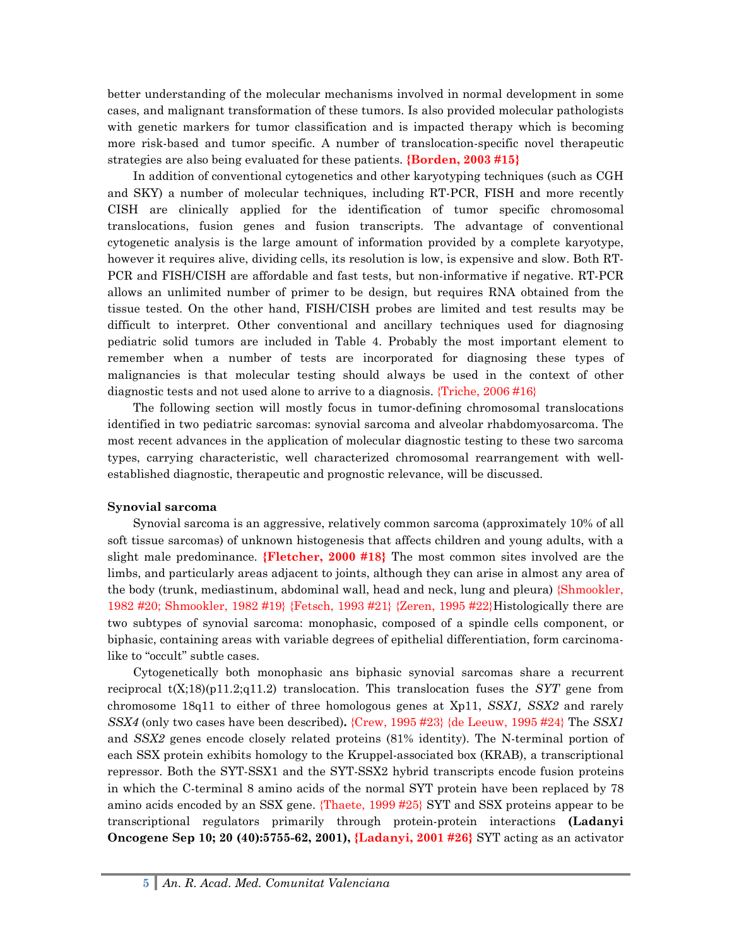better understanding of the molecular mechanisms involved in normal development in some cases, and malignant transformation of these tumors. Is also provided molecular pathologists with genetic markers for tumor classification and is impacted therapy which is becoming more risk-based and tumor specific. A number of translocation-specific novel therapeutic strategies are also being evaluated for these patients. **{Borden, 2003 #15}** 

In addition of conventional cytogenetics and other karyotyping techniques (such as CGH and SKY) a number of molecular techniques, including RT-PCR, FISH and more recently CISH are clinically applied for the identification of tumor specific chromosomal translocations, fusion genes and fusion transcripts. The advantage of conventional cytogenetic analysis is the large amount of information provided by a complete karyotype, however it requires alive, dividing cells, its resolution is low, is expensive and slow. Both RT-PCR and FISH/CISH are affordable and fast tests, but non-informative if negative. RT-PCR allows an unlimited number of primer to be design, but requires RNA obtained from the tissue tested. On the other hand, FISH/CISH probes are limited and test results may be difficult to interpret. Other conventional and ancillary techniques used for diagnosing pediatric solid tumors are included in Table 4. Probably the most important element to remember when a number of tests are incorporated for diagnosing these types of malignancies is that molecular testing should always be used in the context of other diagnostic tests and not used alone to arrive to a diagnosis. {Triche, 2006 #16}

The following section will mostly focus in tumor-defining chromosomal translocations identified in two pediatric sarcomas: synovial sarcoma and alveolar rhabdomyosarcoma. The most recent advances in the application of molecular diagnostic testing to these two sarcoma types, carrying characteristic, well characterized chromosomal rearrangement with wellestablished diagnostic, therapeutic and prognostic relevance, will be discussed.

### **Synovial sarcoma**

Synovial sarcoma is an aggressive, relatively common sarcoma (approximately 10% of all soft tissue sarcomas) of unknown histogenesis that affects children and young adults, with a slight male predominance. **{Fletcher, 2000 #18}** The most common sites involved are the limbs, and particularly areas adjacent to joints, although they can arise in almost any area of the body (trunk, mediastinum, abdominal wall, head and neck, lung and pleura) {Shmookler, 1982 #20; Shmookler, 1982 #19} {Fetsch, 1993 #21} {Zeren, 1995 #22}Histologically there are two subtypes of synovial sarcoma: monophasic, composed of a spindle cells component, or biphasic, containing areas with variable degrees of epithelial differentiation, form carcinomalike to "occult" subtle cases.

Cytogenetically both monophasic ans biphasic synovial sarcomas share a recurrent reciprocal t(X;18)(p11.2;q11.2) translocation. This translocation fuses the *SYT* gene from chromosome 18q11 to either of three homologous genes at Xp11, *SSX1, SSX2* and rarely *SSX4* (only two cases have been described)**.** {Crew, 1995 #23} {de Leeuw, 1995 #24} The *SSX1* and *SSX2* genes encode closely related proteins (81% identity). The N-terminal portion of each SSX protein exhibits homology to the Kruppel-associated box (KRAB), a transcriptional repressor. Both the SYT-SSX1 and the SYT-SSX2 hybrid transcripts encode fusion proteins in which the C-terminal 8 amino acids of the normal SYT protein have been replaced by 78 amino acids encoded by an SSX gene. {Thaete, 1999 #25} SYT and SSX proteins appear to be transcriptional regulators primarily through protein-protein interactions **(Ladanyi Oncogene Sep 10; 20 (40):5755-62, 2001), {Ladanyi, 2001 #26}** SYT acting as an activator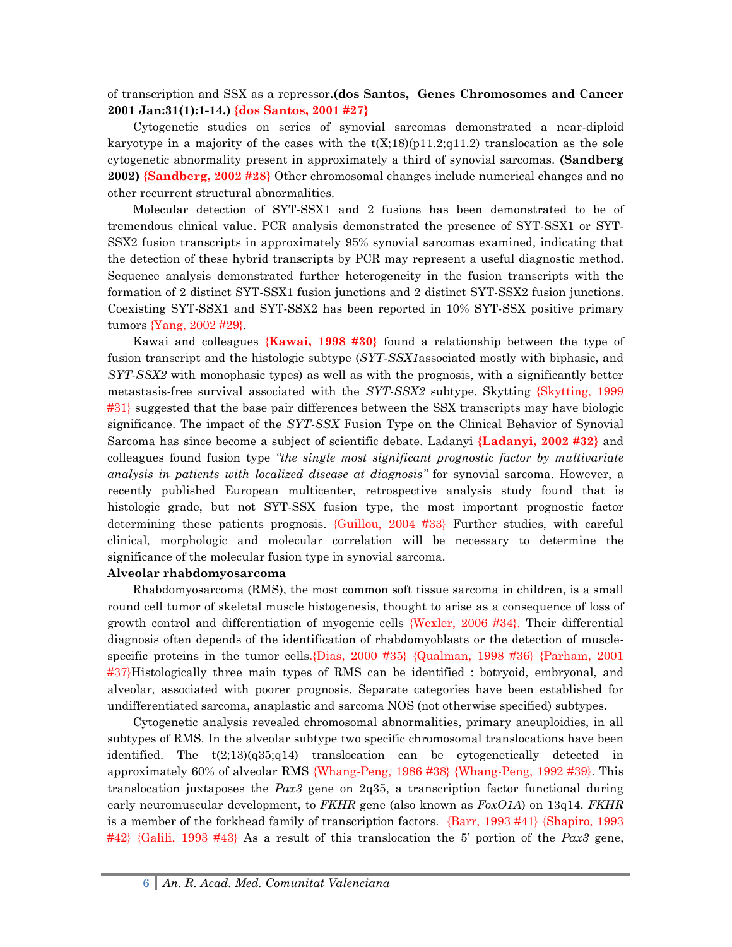of transcription and SSX as a repressor**.(dos Santos, Genes Chromosomes and Cancer 2001 Jan:31(1):1-14.) {dos Santos, 2001 #27}**

Cytogenetic studies on series of synovial sarcomas demonstrated a near-diploid karyotype in a majority of the cases with the  $t(X;18)(p11.2;q11.2)$  translocation as the sole cytogenetic abnormality present in approximately a third of synovial sarcomas. **(Sandberg 2002) {Sandberg, 2002 #28}** Other chromosomal changes include numerical changes and no other recurrent structural abnormalities.

Molecular detection of SYT-SSX1 and 2 fusions has been demonstrated to be of tremendous clinical value. PCR analysis demonstrated the presence of SYT-SSX1 or SYT-SSX2 fusion transcripts in approximately 95% synovial sarcomas examined, indicating that the detection of these hybrid transcripts by PCR may represent a useful diagnostic method. Sequence analysis demonstrated further heterogeneity in the fusion transcripts with the formation of 2 distinct SYT-SSX1 fusion junctions and 2 distinct SYT-SSX2 fusion junctions. Coexisting SYT-SSX1 and SYT-SSX2 has been reported in 10% SYT-SSX positive primary tumors {Yang, 2002 #29}.

Kawai and colleagues {**Kawai, 1998 #30}** found a relationship between the type of fusion transcript and the histologic subtype (*SYT-SSX1*associated mostly with biphasic, and *SYT-SSX2* with monophasic types) as well as with the prognosis, with a significantly better metastasis-free survival associated with the *SYT-SSX2* subtype. Skytting {Skytting, 1999 #31} suggested that the base pair differences between the SSX transcripts may have biologic significance. The impact of the *SYT-SSX* Fusion Type on the Clinical Behavior of Synovial Sarcoma has since become a subject of scientific debate. Ladanyi **{Ladanyi, 2002 #32}** and colleagues found fusion type *"the single most significant prognostic factor by multivariate analysis in patients with localized disease at diagnosis"* for synovial sarcoma. However, a recently published European multicenter, retrospective analysis study found that is histologic grade, but not SYT-SSX fusion type, the most important prognostic factor determining these patients prognosis. {Guillou, 2004 #33} Further studies, with careful clinical, morphologic and molecular correlation will be necessary to determine the significance of the molecular fusion type in synovial sarcoma.

#### **Alveolar rhabdomyosarcoma**

Rhabdomyosarcoma (RMS), the most common soft tissue sarcoma in children, is a small round cell tumor of skeletal muscle histogenesis, thought to arise as a consequence of loss of growth control and differentiation of myogenic cells {Wexler, 2006 #34}. Their differential diagnosis often depends of the identification of rhabdomyoblasts or the detection of musclespecific proteins in the tumor cells.{Dias, 2000 #35} {Qualman, 1998 #36} {Parham, 2001 #37}Histologically three main types of RMS can be identified : botryoid, embryonal, and alveolar, associated with poorer prognosis. Separate categories have been established for undifferentiated sarcoma, anaplastic and sarcoma NOS (not otherwise specified) subtypes.

Cytogenetic analysis revealed chromosomal abnormalities, primary aneuploidies, in all subtypes of RMS. In the alveolar subtype two specific chromosomal translocations have been identified. The t(2;13)(q35;q14) translocation can be cytogenetically detected in approximately 60% of alveolar RMS {Whang-Peng, 1986 #38} {Whang-Peng, 1992 #39}. This translocation juxtaposes the *Pax3* gene on 2q35, a transcription factor functional during early neuromuscular development, to *FKHR* gene (also known as *FoxO1A*) on 13q14. *FKHR* is a member of the forkhead family of transcription factors. {Barr, 1993 #41} {Shapiro, 1993 #42} {Galili, 1993 #43} As a result of this translocation the 5' portion of the *Pax3* gene,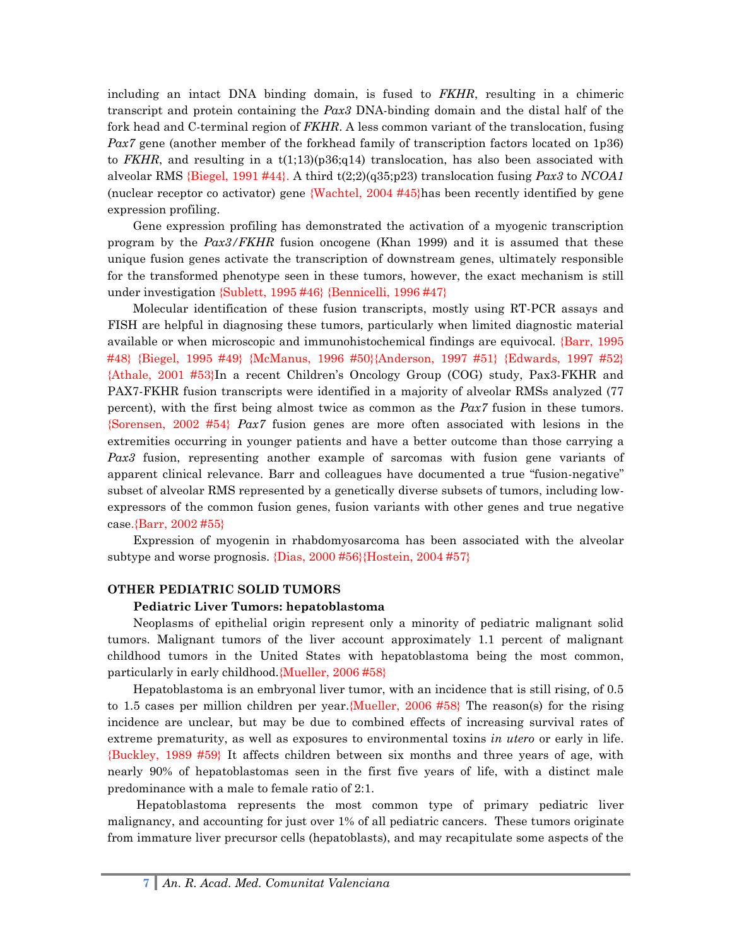including an intact DNA binding domain, is fused to *FKHR*, resulting in a chimeric transcript and protein containing the *Pax3* DNA-binding domain and the distal half of the fork head and C-terminal region of *FKHR*. A less common variant of the translocation, fusing *Pax7* gene (another member of the forkhead family of transcription factors located on 1p36) to *FKHR*, and resulting in a  $t(1,13)(p36;q14)$  translocation, has also been associated with alveolar RMS {Biegel, 1991 #44}. A third t(2;2)(q35;p23) translocation fusing *Pax3* to *NCOA1*  (nuclear receptor co activator) gene {Wachtel, 2004 #45}has been recently identified by gene expression profiling.

Gene expression profiling has demonstrated the activation of a myogenic transcription program by the *Pax3/FKHR* fusion oncogene (Khan 1999) and it is assumed that these unique fusion genes activate the transcription of downstream genes, ultimately responsible for the transformed phenotype seen in these tumors, however, the exact mechanism is still under investigation {Sublett, 1995 #46} {Bennicelli, 1996 #47}

Molecular identification of these fusion transcripts, mostly using RT-PCR assays and FISH are helpful in diagnosing these tumors, particularly when limited diagnostic material available or when microscopic and immunohistochemical findings are equivocal. {Barr, 1995 #48} {Biegel, 1995 #49} {McManus, 1996 #50}{Anderson, 1997 #51} {Edwards, 1997 #52} {Athale, 2001 #53}In a recent Children's Oncology Group (COG) study, Pax3-FKHR and PAX7-FKHR fusion transcripts were identified in a majority of alveolar RMSs analyzed (77 percent), with the first being almost twice as common as the *Pax7* fusion in these tumors. {Sorensen, 2002 #54} *Pax7* fusion genes are more often associated with lesions in the extremities occurring in younger patients and have a better outcome than those carrying a *Pax3* fusion, representing another example of sarcomas with fusion gene variants of apparent clinical relevance. Barr and colleagues have documented a true "fusion-negative" subset of alveolar RMS represented by a genetically diverse subsets of tumors, including lowexpressors of the common fusion genes, fusion variants with other genes and true negative case.{Barr, 2002 #55}

Expression of myogenin in rhabdomyosarcoma has been associated with the alveolar subtype and worse prognosis. {Dias, 2000 #56}{Hostein, 2004 #57}

#### **OTHER PEDIATRIC SOLID TUMORS**

#### **Pediatric Liver Tumors: hepatoblastoma**

Neoplasms of epithelial origin represent only a minority of pediatric malignant solid tumors. Malignant tumors of the liver account approximately 1.1 percent of malignant childhood tumors in the United States with hepatoblastoma being the most common, particularly in early childhood.{Mueller, 2006 #58}

Hepatoblastoma is an embryonal liver tumor, with an incidence that is still rising, of 0.5 to 1.5 cases per million children per year.{Mueller, 2006 #58} The reason(s) for the rising incidence are unclear, but may be due to combined effects of increasing survival rates of extreme prematurity, as well as exposures to environmental toxins *in utero* or early in life. {Buckley, 1989 #59} It affects children between six months and three years of age, with nearly 90% of hepatoblastomas seen in the first five years of life, with a distinct male predominance with a male to female ratio of 2:1.

Hepatoblastoma represents the most common type of primary pediatric liver malignancy, and accounting for just over 1% of all pediatric cancers. These tumors originate from immature liver precursor cells (hepatoblasts), and may recapitulate some aspects of the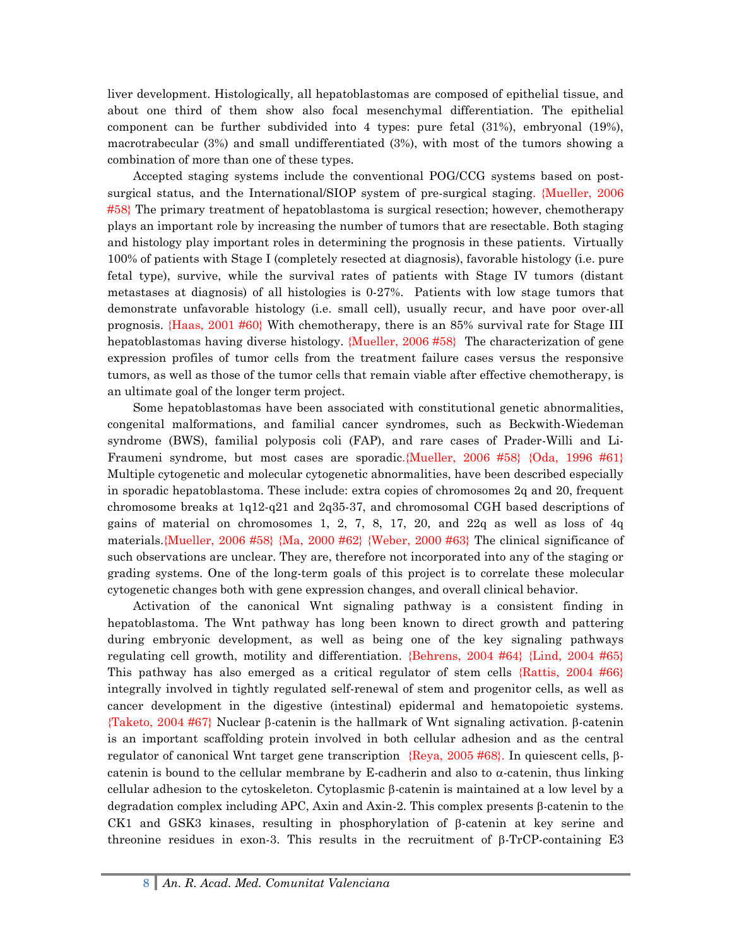liver development. Histologically, all hepatoblastomas are composed of epithelial tissue, and about one third of them show also focal mesenchymal differentiation. The epithelial component can be further subdivided into 4 types: pure fetal (31%), embryonal (19%), macrotrabecular (3%) and small undifferentiated (3%), with most of the tumors showing a combination of more than one of these types.

Accepted staging systems include the conventional POG/CCG systems based on postsurgical status, and the International/SIOP system of pre-surgical staging. {Mueller, 2006 #58} The primary treatment of hepatoblastoma is surgical resection; however, chemotherapy plays an important role by increasing the number of tumors that are resectable. Both staging and histology play important roles in determining the prognosis in these patients. Virtually 100% of patients with Stage I (completely resected at diagnosis), favorable histology (i.e. pure fetal type), survive, while the survival rates of patients with Stage IV tumors (distant metastases at diagnosis) of all histologies is 0-27%. Patients with low stage tumors that demonstrate unfavorable histology (i.e. small cell), usually recur, and have poor over-all prognosis. {Haas, 2001 #60} With chemotherapy, there is an 85% survival rate for Stage III hepatoblastomas having diverse histology. {Mueller, 2006 #58} The characterization of gene expression profiles of tumor cells from the treatment failure cases versus the responsive tumors, as well as those of the tumor cells that remain viable after effective chemotherapy, is an ultimate goal of the longer term project.

Some hepatoblastomas have been associated with constitutional genetic abnormalities, congenital malformations, and familial cancer syndromes, such as Beckwith-Wiedeman syndrome (BWS), familial polyposis coli (FAP), and rare cases of Prader-Willi and Li-Fraumeni syndrome, but most cases are sporadic.{Mueller, 2006 #58} {Oda, 1996 #61} Multiple cytogenetic and molecular cytogenetic abnormalities, have been described especially in sporadic hepatoblastoma. These include: extra copies of chromosomes 2q and 20, frequent chromosome breaks at 1q12-q21 and 2q35-37, and chromosomal CGH based descriptions of gains of material on chromosomes 1, 2, 7, 8, 17, 20, and  $22q$  as well as loss of  $4q$ materials.{Mueller, 2006 #58} {Ma, 2000 #62} {Weber, 2000 #63} The clinical significance of such observations are unclear. They are, therefore not incorporated into any of the staging or grading systems. One of the long-term goals of this project is to correlate these molecular cytogenetic changes both with gene expression changes, and overall clinical behavior.

Activation of the canonical Wnt signaling pathway is a consistent finding in hepatoblastoma. The Wnt pathway has long been known to direct growth and pattering during embryonic development, as well as being one of the key signaling pathways regulating cell growth, motility and differentiation. {Behrens, 2004 #64} {Lind, 2004 #65} This pathway has also emerged as a critical regulator of stem cells {Rattis, 2004 #66} integrally involved in tightly regulated self-renewal of stem and progenitor cells, as well as cancer development in the digestive (intestinal) epidermal and hematopoietic systems. {Taketo, 2004 #67} Nuclear β-catenin is the hallmark of Wnt signaling activation. β-catenin is an important scaffolding protein involved in both cellular adhesion and as the central regulator of canonical Wnt target gene transcription {Reya, 2005 #68}. In quiescent cells, βcatenin is bound to the cellular membrane by E-cadherin and also to  $\alpha$ -catenin, thus linking cellular adhesion to the cytoskeleton. Cytoplasmic β-catenin is maintained at a low level by a degradation complex including APC, Axin and Axin-2. This complex presents β-catenin to the CK1 and GSK3 kinases, resulting in phosphorylation of β-catenin at key serine and threonine residues in exon-3. This results in the recruitment of β-TrCP-containing E3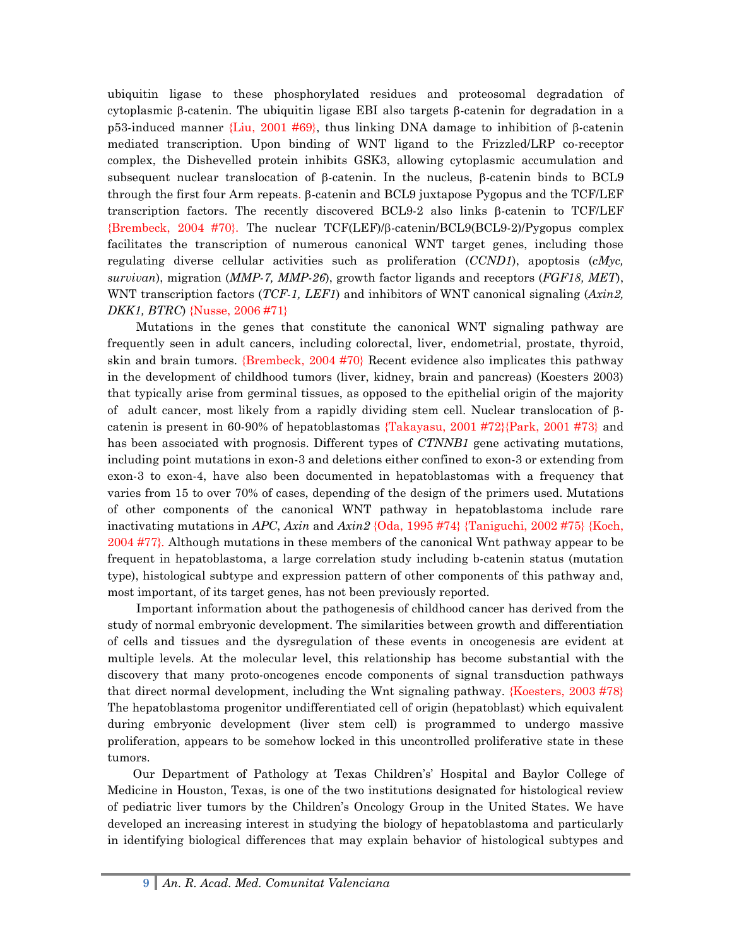ubiquitin ligase to these phosphorylated residues and proteosomal degradation of cytoplasmic β-catenin. The ubiquitin ligase EBI also targets β-catenin for degradation in a p53-induced manner {Liu, 2001 #69}, thus linking DNA damage to inhibition of β-catenin mediated transcription. Upon binding of WNT ligand to the Frizzled/LRP co-receptor complex, the Dishevelled protein inhibits GSK3, allowing cytoplasmic accumulation and subsequent nuclear translocation of β-catenin. In the nucleus, β-catenin binds to BCL9 through the first four Arm repeats. β-catenin and BCL9 juxtapose Pygopus and the TCF/LEF transcription factors. The recently discovered BCL9-2 also links β-catenin to TCF/LEF {Brembeck, 2004 #70}. The nuclear TCF(LEF)/β-catenin/BCL9(BCL9-2)/Pygopus complex facilitates the transcription of numerous canonical WNT target genes, including those regulating diverse cellular activities such as proliferation (*CCND1*), apoptosis (*cMyc, survivan*), migration (*MMP-7, MMP-26*), growth factor ligands and receptors (*FGF18, MET*), WNT transcription factors (*TCF-1, LEF1*) and inhibitors of WNT canonical signaling (*Axin2, DKK1, BTRC*) {Nusse, 2006 #71}

Mutations in the genes that constitute the canonical WNT signaling pathway are frequently seen in adult cancers, including colorectal, liver, endometrial, prostate, thyroid, skin and brain tumors. {Brembeck, 2004 #70} Recent evidence also implicates this pathway in the development of childhood tumors (liver, kidney, brain and pancreas) (Koesters 2003) that typically arise from germinal tissues, as opposed to the epithelial origin of the majority of adult cancer, most likely from a rapidly dividing stem cell. Nuclear translocation of βcatenin is present in 60-90% of hepatoblastomas  $\{\text{Taking } T_{\text{akayasu}, 2001} \#72\}$  and  $\{\text{First } 2001 \#73\}$  and has been associated with prognosis. Different types of *CTNNB1* gene activating mutations, including point mutations in exon-3 and deletions either confined to exon-3 or extending from exon-3 to exon-4, have also been documented in hepatoblastomas with a frequency that varies from 15 to over 70% of cases, depending of the design of the primers used. Mutations of other components of the canonical WNT pathway in hepatoblastoma include rare inactivating mutations in *APC*, *Axin* and *Axin2* {Oda, 1995 #74} {Taniguchi, 2002 #75} {Koch, 2004 #77}*.* Although mutations in these members of the canonical Wnt pathway appear to be frequent in hepatoblastoma, a large correlation study including b-catenin status (mutation type), histological subtype and expression pattern of other components of this pathway and, most important, of its target genes, has not been previously reported.

Important information about the pathogenesis of childhood cancer has derived from the study of normal embryonic development. The similarities between growth and differentiation of cells and tissues and the dysregulation of these events in oncogenesis are evident at multiple levels. At the molecular level, this relationship has become substantial with the discovery that many proto-oncogenes encode components of signal transduction pathways that direct normal development, including the Wnt signaling pathway. {Koesters, 2003 #78} The hepatoblastoma progenitor undifferentiated cell of origin (hepatoblast) which equivalent during embryonic development (liver stem cell) is programmed to undergo massive proliferation, appears to be somehow locked in this uncontrolled proliferative state in these tumors.

Our Department of Pathology at Texas Children's' Hospital and Baylor College of Medicine in Houston, Texas, is one of the two institutions designated for histological review of pediatric liver tumors by the Children's Oncology Group in the United States. We have developed an increasing interest in studying the biology of hepatoblastoma and particularly in identifying biological differences that may explain behavior of histological subtypes and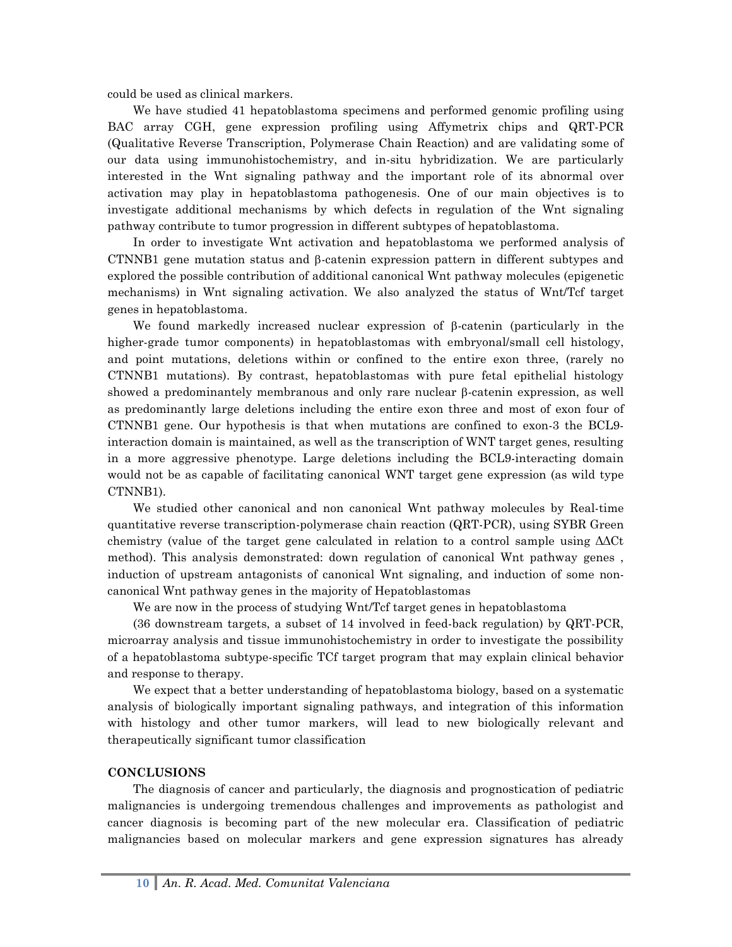could be used as clinical markers.

We have studied 41 hepatoblastoma specimens and performed genomic profiling using BAC array CGH, gene expression profiling using Affymetrix chips and QRT-PCR (Qualitative Reverse Transcription, Polymerase Chain Reaction) and are validating some of our data using immunohistochemistry, and in-situ hybridization. We are particularly interested in the Wnt signaling pathway and the important role of its abnormal over activation may play in hepatoblastoma pathogenesis. One of our main objectives is to investigate additional mechanisms by which defects in regulation of the Wnt signaling pathway contribute to tumor progression in different subtypes of hepatoblastoma.

In order to investigate Wnt activation and hepatoblastoma we performed analysis of CTNNB1 gene mutation status and β-catenin expression pattern in different subtypes and explored the possible contribution of additional canonical Wnt pathway molecules (epigenetic mechanisms) in Wnt signaling activation. We also analyzed the status of Wnt/Tcf target genes in hepatoblastoma.

We found markedly increased nuclear expression of β-catenin (particularly in the higher-grade tumor components) in hepatoblastomas with embryonal/small cell histology, and point mutations, deletions within or confined to the entire exon three, (rarely no CTNNB1 mutations). By contrast, hepatoblastomas with pure fetal epithelial histology showed a predominantely membranous and only rare nuclear β-catenin expression, as well as predominantly large deletions including the entire exon three and most of exon four of CTNNB1 gene. Our hypothesis is that when mutations are confined to exon-3 the BCL9 interaction domain is maintained, as well as the transcription of WNT target genes, resulting in a more aggressive phenotype. Large deletions including the BCL9-interacting domain would not be as capable of facilitating canonical WNT target gene expression (as wild type CTNNB1).

We studied other canonical and non canonical Wnt pathway molecules by Real-time quantitative reverse transcription-polymerase chain reaction (QRT-PCR), using SYBR Green chemistry (value of the target gene calculated in relation to a control sample using ΔΔCt method). This analysis demonstrated: down regulation of canonical Wnt pathway genes , induction of upstream antagonists of canonical Wnt signaling, and induction of some noncanonical Wnt pathway genes in the majority of Hepatoblastomas

We are now in the process of studying Wnt/Tcf target genes in hepatoblastoma

(36 downstream targets, a subset of 14 involved in feed-back regulation) by QRT-PCR, microarray analysis and tissue immunohistochemistry in order to investigate the possibility of a hepatoblastoma subtype-specific TCf target program that may explain clinical behavior and response to therapy.

We expect that a better understanding of hepatoblastoma biology, based on a systematic analysis of biologically important signaling pathways, and integration of this information with histology and other tumor markers, will lead to new biologically relevant and therapeutically significant tumor classification

### **CONCLUSIONS**

The diagnosis of cancer and particularly, the diagnosis and prognostication of pediatric malignancies is undergoing tremendous challenges and improvements as pathologist and cancer diagnosis is becoming part of the new molecular era. Classification of pediatric malignancies based on molecular markers and gene expression signatures has already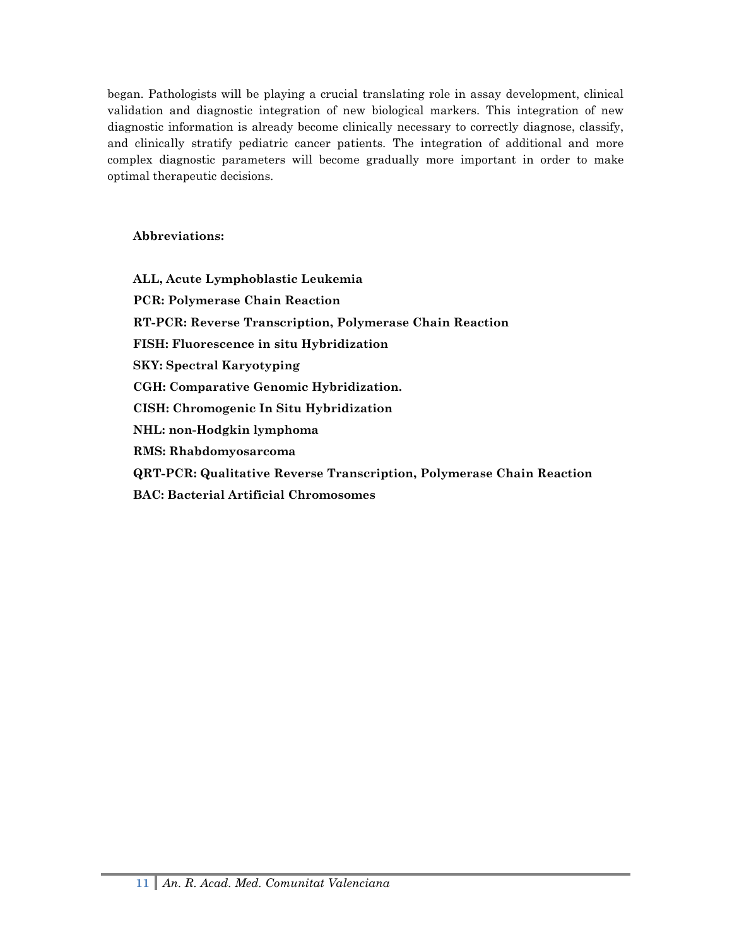began. Pathologists will be playing a crucial translating role in assay development, clinical validation and diagnostic integration of new biological markers. This integration of new diagnostic information is already become clinically necessary to correctly diagnose, classify, and clinically stratify pediatric cancer patients. The integration of additional and more complex diagnostic parameters will become gradually more important in order to make optimal therapeutic decisions.

## **Abbreviations:**

**ALL, Acute Lymphoblastic Leukemia PCR: Polymerase Chain Reaction RT-PCR: Reverse Transcription, Polymerase Chain Reaction FISH: Fluorescence in situ Hybridization SKY: Spectral Karyotyping CGH: Comparative Genomic Hybridization. CISH: Chromogenic In Situ Hybridization NHL: non-Hodgkin lymphoma RMS: Rhabdomyosarcoma QRT-PCR: Qualitative Reverse Transcription, Polymerase Chain Reaction BAC: Bacterial Artificial Chromosomes**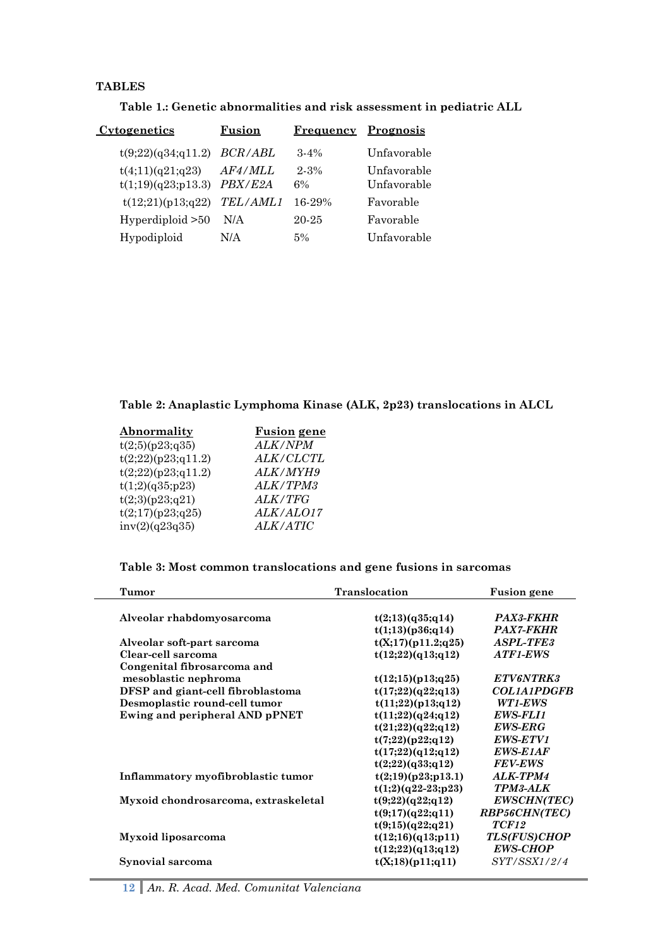## **TABLES**

j.

| Table 1.: Genetic abnormalities and risk assessment in pediatric ALL |  |
|----------------------------------------------------------------------|--|
|----------------------------------------------------------------------|--|

| <u>Cytogenetics</u>                    | Fusion             | Frequency      | <b>Prognosis</b>           |
|----------------------------------------|--------------------|----------------|----------------------------|
| t(9;22)(q34;q11.2)                     | <i>BCR/ABL</i>     | $3 - 4\%$      | Unfavorable                |
| t(4;11)(q21;q23)<br>t(1;19)(q23;p13.3) | AF4/MLL<br>PBX/E2A | $2 - 3%$<br>6% | Unfavorable<br>Unfavorable |
| t(12;21)(p13;q22)                      | <b>TEL/AML1</b>    | 16-29%         | Favorable                  |
| Hyperdiploid > 50                      | N/A                | 20-25          | Favorable                  |
| Hypodiploid                            | N/A                | 5%             | Unfavorable                |

# **Table 2: Anaplastic Lymphoma Kinase (ALK, 2p23) translocations in ALCL**

| Abnormality        | <b>Fusion</b> gene |
|--------------------|--------------------|
| t(2;5)(p23;q35)    | ALK/NPM            |
| t(2;22)(p23;q11.2) | ALK/CLCTL          |
| t(2;22)(p23;q11.2) | ALK/MYH9           |
| t(1;2)(q35;p23)    | ALK/TPM3           |
| t(2;3)(p23;q21)    | <i>ALK/TFG</i>     |
| t(2;17)(p23;q25)   | ALK/ALO17          |
| inv(2)(q23q35)     | <i>ALK/ATIC</i>    |

# **Table 3: Most common translocations and gene fusions in sarcomas**

| <b>Tumor</b>                         | <b>Translocation</b> | <b>Fusion gene</b>                     |
|--------------------------------------|----------------------|----------------------------------------|
|                                      |                      |                                        |
| Alveolar rhabdomyosarcoma            | t(2;13)(q35;q14)     | PAX3-FKHR                              |
|                                      | t(1;13)(p36;q14)     | <b>PAX7-FKHR</b>                       |
| Alveolar soft-part sarcoma           | t(X;17)(p11.2;q25)   | <b>ASPL-TFE3</b>                       |
| Clear-cell sarcoma                   | t(12;22)(q13;q12)    | ATF1-EWS                               |
| Congenital fibrosarcoma and          |                      |                                        |
| mesoblastic nephroma                 | t(12;15)(p13;q25)    | ETV6NTRK3                              |
| DFSP and giant-cell fibroblastoma    | t(17;22)(q22;q13)    | <b>COL1A1PDGFB</b>                     |
| Desmoplastic round-cell tumor        | t(11;22)(p13;q12)    | WT1-EWS                                |
| Ewing and peripheral AND pPNET       | t(11;22)(q24;q12)    | <b>EWS-FLI1</b>                        |
|                                      | t(21;22)(q22;q12)    | <b>EWS-ERG</b>                         |
|                                      | t(7;22)(p22;q12)     | EWS-ETV1                               |
|                                      | t(17;22)(q12;q12)    | <b>EWS-E1AF</b>                        |
|                                      | t(2;22)(q33;q12)     | <b>FEV-EWS</b>                         |
| Inflammatory myofibroblastic tumor   | t(2;19)(p23;p13.1)   | ALK-TPM4                               |
|                                      | $t(1;2)(q22-23;p23)$ | <b>TPM3-ALK</b>                        |
| Myxoid chondrosarcoma, extraskeletal | t(9;22)(q22;q12)     | <b>EWSCHN(TEC)</b>                     |
|                                      | t(9;17)(q22;q11)     | RBP56CHN(TEC)                          |
|                                      | t(9;15)(q22;q21)     | TCF12                                  |
|                                      |                      |                                        |
| Myxoid liposarcoma                   | t(12;16)(q13;p11)    | <b>TLS(FUS)CHOP</b><br><b>EWS-CHOP</b> |
|                                      | t(12;22)(q13;q12)    |                                        |
| Synovial sarcoma                     | t(X;18)(p11;q11)     | SYT/SSX1/2/4                           |